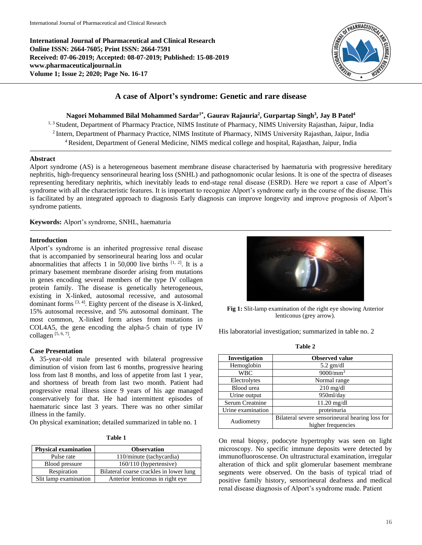**International Journal of Pharmaceutical and Clinical Research Online ISSN: 2664-7605; Print ISSN: 2664-7591 Received: 07-06-2019; Accepted: 08-07-2019; Published: 15-08-2019 www.pharmaceuticaljournal.in Volume 1; Issue 2; 2020; Page No. 16-17**



# **A case of Alport's syndrome: Genetic and rare disease**

**Nagori Mohammed Bilal Mohammed Sardar1\* , Gaurav Rajauria<sup>2</sup> , Gurpartap Singh<sup>3</sup> , Jay B Patel<sup>4</sup>**

<sup>1, 3</sup> Student, Department of Pharmacy Practice, NIMS Institute of Pharmacy, NIMS University Rajasthan, Jaipur, India <sup>2</sup> Intern, Department of Pharmacy Practice, NIMS Institute of Pharmacy, NIMS University Rajasthan, Jaipur, India <sup>4</sup>Resident, Department of General Medicine, NIMS medical college and hospital, Rajasthan, Jaipur, India

#### **Abstract**

Alport syndrome (AS) is a heterogeneous basement membrane disease characterised by haematuria with progressive hereditary nephritis, high-frequency sensorineural hearing loss (SNHL) and pathognomonic ocular lesions. It is one of the spectra of diseases representing hereditary nephritis, which inevitably leads to end-stage renal disease (ESRD). Here we report a case of Alport's syndrome with all the characteristic features. It is important to recognize Alport's syndrome early in the course of the disease. This is facilitated by an integrated approach to diagnosis Early diagnosis can improve longevity and improve prognosis of Alport's syndrome patients.

**Keywords:** Alport's syndrome, SNHL, haematuria

# **Introduction**

Alport's syndrome is an inherited progressive renal disease that is accompanied by sensorineural hearing loss and ocular abnormalities that affects 1 in 50,000 live births  $[1, 2]$ . It is a primary basement membrane disorder arising from mutations in genes encoding several members of the type IV collagen protein family. The disease is genetically heterogeneous, existing in X-linked, autosomal recessive, and autosomal dominant forms  $[3, 4]$ . Eighty percent of the disease is X-linked, 15% autosomal recessive, and 5% autosomal dominant. The most common, X-linked form arises from mutations in COL4A5, the gene encoding the alpha-5 chain of type IV collagen [5, 6, 7] .

# **Case Presentation**

A 35-year-old male presented with bilateral progressive diminution of vision from last 6 months, progressive hearing loss from last 8 months, and loss of appetite from last 1 year, and shortness of breath from last two month. Patient had progressive renal illness since 9 years of his age managed conservatively for that. He had intermittent episodes of haematuric since last 3 years. There was no other similar illness in the family.

On physical examination; detailed summarized in table no. 1

| I |  |
|---|--|
| ٠ |  |

| <b>Physical examination</b> | <b>Observation</b>                      |
|-----------------------------|-----------------------------------------|
| Pulse rate                  | 110/minute (tachycardia)                |
| Blood pressure              | 160/110 (hypertensive)                  |
| Respiration                 | Bilateral coarse crackles in lower lung |
| Slit lamp examination       | Anterior lenticonus in right eye        |



**Fig 1:** Slit-lamp examination of the right eye showing Anterior lenticonus (grey arrow).

His laboratorial investigation; summarized in table no. 2

| Investigation     | <b>Observed value</b>                           |
|-------------------|-------------------------------------------------|
| Hemoglobin        | $5.2$ gm/dl                                     |
| <b>WBC</b>        | $9000/mm^3$                                     |
| Electrolytes      | Normal range                                    |
| Blood urea        | $210 \text{ mg/dl}$                             |
| Urine output      | 950ml/day                                       |
| Serum Creatnine   | $11.20$ mg/dl                                   |
| Urine examination | proteinuria                                     |
| Audiometry        | Bilateral severe sensorineural hearing loss for |
|                   | higher frequencies                              |

On renal biopsy, podocyte hypertrophy was seen on light microscopy. No specific immune deposits were detected by immunofluoroscense. On ultrastructural examination, irregular alteration of thick and split glomerular basement membrane segments were observed. On the basis of typical triad of positive family history, sensorineural deafness and medical renal disease diagnosis of Alport's syndrome made. Patient

**Table 2**